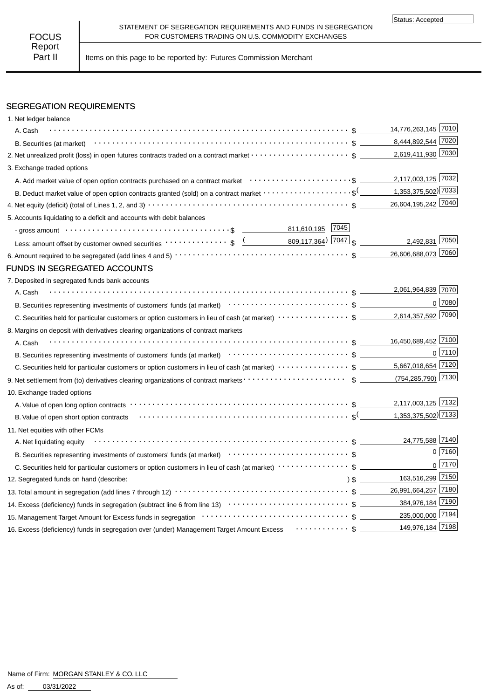Part II | Items on this page to be reported by: Futures Commission Merchant

# SEGREGATION REQUIREMENTS

| 1. Net ledger balance                                                                                                                                                                                                         |                     |                |
|-------------------------------------------------------------------------------------------------------------------------------------------------------------------------------------------------------------------------------|---------------------|----------------|
| A. Cash                                                                                                                                                                                                                       | 14,776,263,145 7010 |                |
| B. Securities (at market) $\cdots$ $\cdots$ $\cdots$ $\cdots$ $\cdots$ $\cdots$ $\cdots$ $\cdots$ $\cdots$ $\cdots$ $\cdots$ $\cdots$ $\cdots$ $\cdots$ $\cdots$                                                              | 8,444,892,544 7020  |                |
|                                                                                                                                                                                                                               | 2,619,411,930 7030  |                |
| 3. Exchange traded options                                                                                                                                                                                                    |                     |                |
|                                                                                                                                                                                                                               | 2,117,003,125 7032  |                |
| B. Deduct market value of open option contracts granted (sold) on a contract market $\cdots\cdots\cdots\cdots\cdots\cdots\cdots$ \$ (1,353,375,502) 7033                                                                      |                     |                |
|                                                                                                                                                                                                                               | 26,604,195,242 7040 |                |
| 5. Accounts liquidating to a deficit and accounts with debit balances                                                                                                                                                         |                     |                |
|                                                                                                                                                                                                                               |                     |                |
| Less: amount offset by customer owned securities $\cdots \cdots \cdots$ ; $\frac{(1.000, 117, 364)}{809, 117, 364}$ 7047 $\frac{1}{\$}$                                                                                       | 2,492,831 7050      |                |
|                                                                                                                                                                                                                               | 26,606,688,073 7060 |                |
| <b>FUNDS IN SEGREGATED ACCOUNTS</b>                                                                                                                                                                                           |                     |                |
| 7. Deposited in segregated funds bank accounts                                                                                                                                                                                |                     |                |
| A. Cash                                                                                                                                                                                                                       | 2,061,964,839 7070  |                |
| B. Securities representing investments of customers' funds (at market) (at market) (b) content to securities representing investments of customers' funds (at market)                                                         |                     | 0 7080         |
|                                                                                                                                                                                                                               | 2,614,357,592 7090  |                |
| 8. Margins on deposit with derivatives clearing organizations of contract markets                                                                                                                                             |                     |                |
| A. Cash                                                                                                                                                                                                                       | 16,450,689,452 7100 |                |
| B. Securities representing investments of customers' funds (at market) contract contract contract to securities representing investments of customers' funds (at market) contract contract services and set of the securities |                     | $0\sqrt{7110}$ |
|                                                                                                                                                                                                                               | 5,667,018,654 7120  |                |
|                                                                                                                                                                                                                               | (754,285,790) 7130  |                |
| 10. Exchange traded options                                                                                                                                                                                                   |                     |                |
|                                                                                                                                                                                                                               | 2,117,003,125 7132  |                |
|                                                                                                                                                                                                                               |                     |                |
| 11. Net equities with other FCMs                                                                                                                                                                                              |                     |                |
| A. Net liquidating equity                                                                                                                                                                                                     | 24,775,588 7140     |                |
| B. Securities representing investments of customers' funds (at market)<br>etal market<br>$\sim$ $\sim$ $\sim$ $\sim$ $\sim$ $\sim$ $\sim$                                                                                     |                     | $0$ 7160       |
| C. Securities held for particular customers or option customers in lieu of cash (at market) ·····················\$                                                                                                           |                     | $0\sqrt{7170}$ |
| 12. Segregated funds on hand (describe:                                                                                                                                                                                       | 163,516,299 7150    |                |
|                                                                                                                                                                                                                               | 26,991,664,257 7180 |                |
|                                                                                                                                                                                                                               | 384,976,184 7190    |                |
|                                                                                                                                                                                                                               | 235,000,000 7194    |                |
| 16. Excess (deficiency) funds in segregation over (under) Management Target Amount Excess  \$                                                                                                                                 | 149,976,184 7198    |                |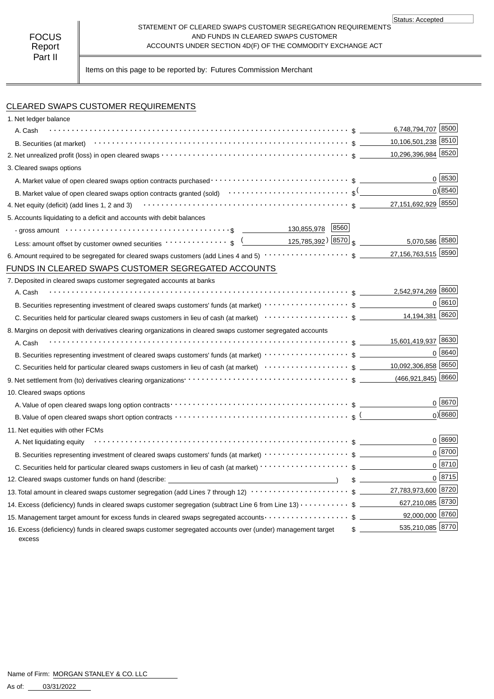#### STATEMENT OF CLEARED SWAPS CUSTOMER SEGREGATION REQUIREMENTS AND FUNDS IN CLEARED SWAPS CUSTOMER ACCOUNTS UNDER SECTION 4D(F) OF THE COMMODITY EXCHANGE ACT Status: Accepted

Items on this page to be reported by: Futures Commission Merchant

CLEARED SWAPS CUSTOMER REQUIREMENTS

| 1. Net ledger balance                                                                                                                                                                                                          |                                   |
|--------------------------------------------------------------------------------------------------------------------------------------------------------------------------------------------------------------------------------|-----------------------------------|
| A. Cash                                                                                                                                                                                                                        | 6,748,794,707 8500                |
|                                                                                                                                                                                                                                | 10,106,501,238 8510               |
|                                                                                                                                                                                                                                | 10,296,396,984 8520               |
| 3. Cleared swaps options                                                                                                                                                                                                       |                                   |
|                                                                                                                                                                                                                                | 0 8530                            |
| B. Market value of open cleared swaps option contracts granted (sold) $\cdots\cdots\cdots\cdots\cdots\cdots\cdots\cdots$ s <sup>(</sup> _________                                                                              | 0) 8540                           |
| 4. Net equity (deficit) (add lines 1, 2 and 3) $\cdots \cdots \cdots \cdots \cdots \cdots \cdots \cdots \cdots \cdots \cdots \cdots \cdots$ \$ $\underline{\hspace{1cm}}$ 27,151,692,929 8550                                  |                                   |
| 5. Accounts liquidating to a deficit and accounts with debit balances                                                                                                                                                          |                                   |
| - gross amount \\contract \\contract \\contract \\contract \\contract \\contract \\contract \\contract \\contract \\contract \\contract \\contract \\contract \\contract \\contract \\contract \\contract \\contract \\contrac |                                   |
| Less: amount offset by customer owned securities $\cdots \cdots \cdots$ , $\sqrt{($ 125,785,392 $)$ 8570 $\sqrt{(}$                                                                                                            | 5,070,586 8580                    |
|                                                                                                                                                                                                                                |                                   |
| FUNDS IN CLEARED SWAPS CUSTOMER SEGREGATED ACCOUNTS                                                                                                                                                                            |                                   |
| 7. Deposited in cleared swaps customer segregated accounts at banks                                                                                                                                                            |                                   |
| A. Cash                                                                                                                                                                                                                        | 2,542,974,269 8600                |
|                                                                                                                                                                                                                                | 0 8610                            |
|                                                                                                                                                                                                                                | 14,194,381 8620                   |
| 8. Margins on deposit with derivatives clearing organizations in cleared swaps customer segregated accounts                                                                                                                    |                                   |
| A. Cash                                                                                                                                                                                                                        |                                   |
|                                                                                                                                                                                                                                | $0 \; 8640$                       |
|                                                                                                                                                                                                                                |                                   |
|                                                                                                                                                                                                                                |                                   |
| 10. Cleared swaps options                                                                                                                                                                                                      |                                   |
|                                                                                                                                                                                                                                | $0^{8670}$                        |
| B. Value of open cleared swaps short option contracts $\cdots \cdots \cdots \cdots \cdots \cdots \cdots \cdots \cdots \cdots \cdots$ s (                                                                                       | $0$ <sup>8680</sup>               |
| 11. Net equities with other FCMs                                                                                                                                                                                               |                                   |
| A. Net liquidating equity                                                                                                                                                                                                      | 0   8690                          |
|                                                                                                                                                                                                                                | $0^{8700}$                        |
|                                                                                                                                                                                                                                | 0 8710                            |
| 12. Cleared swaps customer funds on hand (describe: _____________________________                                                                                                                                              | 0   8715<br>$s =$                 |
| 13. Total amount in cleared swaps customer segregation (add Lines 7 through 12) $\cdots\cdots\cdots\cdots\cdots\cdots\cdots\quad$ \$ _______ 27,783,973,600 8720                                                               |                                   |
| 14. Excess (deficiency) funds in cleared swaps customer segregation (subtract Line 6 from Line 13) \$                                                                                                                          | 627,210,085 8730                  |
| 15. Management target amount for excess funds in cleared swaps segregated accounts $\cdots\cdots\cdots\cdots\cdots\quad$ \$                                                                                                    | 92,000,000 8760                   |
| 16. Excess (deficiency) funds in cleared swaps customer segregated accounts over (under) management target<br>excess                                                                                                           | 535,210,085 8770<br>$\frac{1}{2}$ |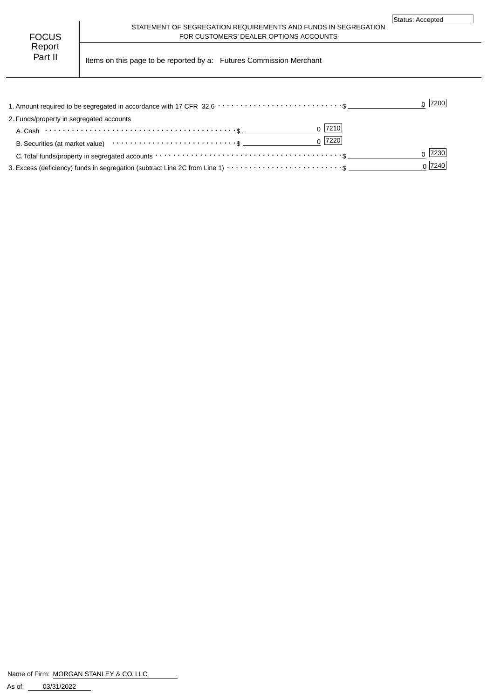| FOCUS   |  |
|---------|--|
| Report  |  |
| Part II |  |

STATEMENT OF SEGREGATION REQUIREMENTS AND FUNDS IN SEGREGATION FOR CUSTOMERS' DEALER OPTIONS ACCOUNTS

Items on this page to be reported by a: Futures Commission Merchant

|                                                                                                                                             | 7200   |
|---------------------------------------------------------------------------------------------------------------------------------------------|--------|
| 2. Funds/property in segregated accounts                                                                                                    |        |
| $0$  7210                                                                                                                                   |        |
| $0$ 7220                                                                                                                                    |        |
| C. Total funds/property in segregated accounts $\cdots \cdots \cdots \cdots \cdots \cdots \cdots \cdots \cdots \cdots \cdots \cdots \cdots$ |        |
|                                                                                                                                             | 0 7240 |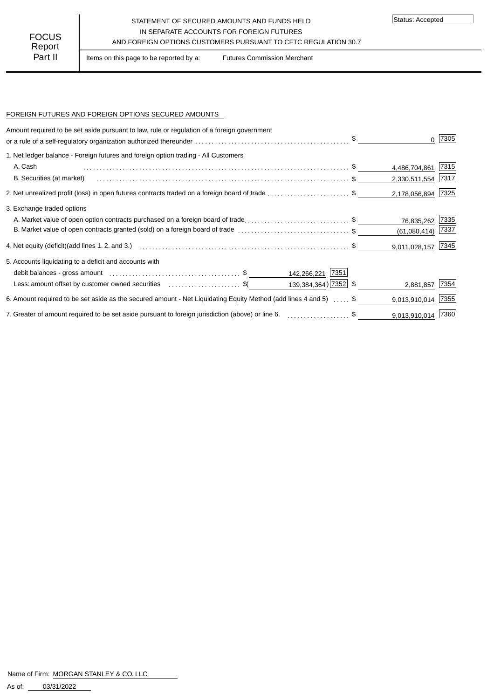## STATEMENT OF SECURED AMOUNTS AND FUNDS HELD IN SEPARATE ACCOUNTS FOR FOREIGN FUTURES AND FOREIGN OPTIONS CUSTOMERS PURSUANT TO CFTC REGULATION 30.7

Status: Accepted

Part II | Items on this page to be reported by a: Futures Commission Merchant

#### FOREIGN FUTURES AND FOREIGN OPTIONS SECURED AMOUNTS

| Amount required to be set aside pursuant to law, rule or regulation of a foreign government                      |                     | 7305 |
|------------------------------------------------------------------------------------------------------------------|---------------------|------|
| 1. Net ledger balance - Foreign futures and foreign option trading - All Customers                               |                     |      |
| A. Cash                                                                                                          | 4,486,704,861       | 7315 |
| B. Securities (at market)                                                                                        | 2,330,511,554 7317  |      |
| 2. Net unrealized profit (loss) in open futures contracts traded on a foreign board of trade \$                  | 2,178,056,894 7325  |      |
| 3. Exchange traded options                                                                                       |                     |      |
| A. Market value of open option contracts purchased on a foreign board of trade\$                                 | 76,835,262          | 7335 |
| B. Market value of open contracts granted (sold) on a foreign board of trade \$                                  | $(61,080,414)$ 7337 |      |
|                                                                                                                  | 9,011,028,157 7345  |      |
| 5. Accounts liquidating to a deficit and accounts with                                                           |                     |      |
| 142,266,221 7351                                                                                                 |                     |      |
| 139,384,364) 7352 \$<br>Less: amount offset by customer owned securities \$(                                     | 2,881,857 7354      |      |
| 6. Amount required to be set aside as the secured amount - Net Liquidating Equity Method (add lines 4 and 5)  \$ | 9,013,910,014       | 7355 |
| 7. Greater of amount required to be set aside pursuant to foreign jurisdiction (above) or line 6. \$             | 9,013,910,014 7360  |      |